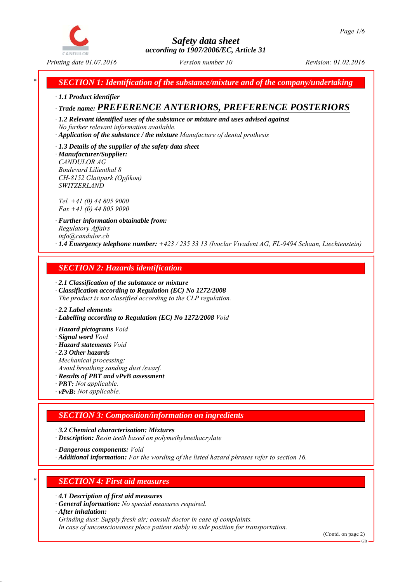

# *Safety data sheet according to 1907/2006/EC, Article 31*

*Printing date 01.07.2016 Revision: 01.02.2016 Version number 10*

*\* SECTION 1: Identification of the substance/mixture and of the company/undertaking*

*∙ 1.1 Product identifier*

# *∙ Trade name: PREFERENCE ANTERIORS, PREFERENCE POSTERIORS*

*∙ 1.2 Relevant identified uses of the substance or mixture and uses advised against No further relevant information available.*

- *∙ Application of the substance / the mixture Manufacture of dental prothesis*
- *∙ 1.3 Details of the supplier of the safety data sheet ∙ Manufacturer/Supplier: CANDULOR AG Boulevard Lilienthal 8*

*CH-8152 Glattpark (Opfikon) SWITZERLAND*

*Tel. +41 (0) 44 805 9000 Fax +41 (0) 44 805 9090*

*∙ Further information obtainable from: Regulatory Affairs info@candulor.ch ∙ 1.4 Emergency telephone number: +423 / 235 33 13 (Ivoclar Vivadent AG, FL-9494 Schaan, Liechtenstein)*

## *SECTION 2: Hazards identification*

*∙ 2.1 Classification of the substance or mixture ∙ Classification according to Regulation (EC) No 1272/2008 The product is not classified according to the CLP regulation.*

### *∙ 2.2 Label elements*

*∙ Labelling according to Regulation (EC) No 1272/2008 Void*

*∙ Hazard pictograms Void*

- *∙ Signal word Void*
- *∙ Hazard statements Void*
- *∙ 2.3 Other hazards*

*Mechanical processing:*

*Avoid breathing sanding dust /swarf.*

*∙ Results of PBT and vPvB assessment*

- *∙ PBT: Not applicable.*
- *∙ vPvB: Not applicable.*

## *SECTION 3: Composition/information on ingredients*

*∙ 3.2 Chemical characterisation: Mixtures*

*∙ Description: Resin teeth based on polymethylmethacrylate*

*∙ Dangerous components: Void*

*∙ Additional information: For the wording of the listed hazard phrases refer to section 16.*

# *\* SECTION 4: First aid measures*

- *∙ 4.1 Description of first aid measures*
- *∙ General information: No special measures required.*
- *∙ After inhalation:*

*Grinding dust: Supply fresh air; consult doctor in case of complaints.*

*In case of unconsciousness place patient stably in side position for transportation.*

(Contd. on page 2)

GB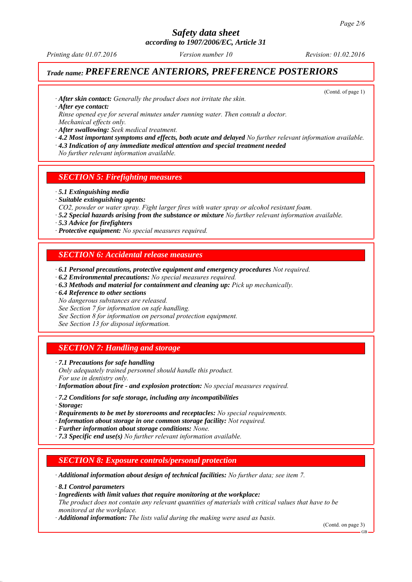*according to 1907/2006/EC, Article 31*

*Printing date 01.07.2016 Revision: 01.02.2016 Version number 10*

(Contd. of page 1)

## *Trade name: PREFERENCE ANTERIORS, PREFERENCE POSTERIORS*

*∙ After skin contact: Generally the product does not irritate the skin.*

*∙ After eye contact:*

*Rinse opened eye for several minutes under running water. Then consult a doctor. Mechanical effects only.*

*∙ After swallowing: Seek medical treatment.*

- *∙ 4.2 Most important symptoms and effects, both acute and delayed No further relevant information available.*
- *∙ 4.3 Indication of any immediate medical attention and special treatment needed*
- *No further relevant information available.*

## *SECTION 5: Firefighting measures*

- *∙ 5.1 Extinguishing media*
- *∙ Suitable extinguishing agents:*
- *CO2, powder or water spray. Fight larger fires with water spray or alcohol resistant foam.*
- *∙ 5.2 Special hazards arising from the substance or mixture No further relevant information available.*
- *∙ 5.3 Advice for firefighters*
- *∙ Protective equipment: No special measures required.*

## *SECTION 6: Accidental release measures*

- *∙ 6.1 Personal precautions, protective equipment and emergency procedures Not required.*
- *∙ 6.2 Environmental precautions: No special measures required.*
- *∙ 6.3 Methods and material for containment and cleaning up: Pick up mechanically.*
- *∙ 6.4 Reference to other sections*
- *No dangerous substances are released.*

*See Section 7 for information on safe handling.*

*See Section 8 for information on personal protection equipment.*

*See Section 13 for disposal information.*

## *SECTION 7: Handling and storage*

*∙ 7.1 Precautions for safe handling Only adequately trained personnel should handle this product. For use in dentistry only.*

*∙ Information about fire - and explosion protection: No special measures required.*

- *∙ 7.2 Conditions for safe storage, including any incompatibilities*
- *∙ Storage:*
- *∙ Requirements to be met by storerooms and receptacles: No special requirements.*
- *∙ Information about storage in one common storage facility: Not required.*
- *∙ Further information about storage conditions: None.*
- *∙ 7.3 Specific end use(s) No further relevant information available.*

### *SECTION 8: Exposure controls/personal protection*

*∙ Additional information about design of technical facilities: No further data; see item 7.*

- *∙ 8.1 Control parameters*
- *∙ Ingredients with limit values that require monitoring at the workplace:*

*The product does not contain any relevant quantities of materials with critical values that have to be monitored at the workplace.*

*∙ Additional information: The lists valid during the making were used as basis.*

(Contd. on page 3)

GB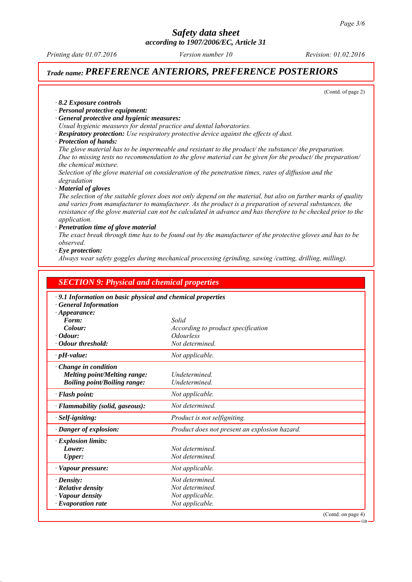*according to 1907/2006/EC, Article 31*

*Printing date 01.07.2016 Revision: 01.02.2016 Version number 10*

## *Trade name: PREFERENCE ANTERIORS, PREFERENCE POSTERIORS*

(Contd. of page 2)

*∙ 8.2 Exposure controls*

- *∙ Personal protective equipment:*
- *∙ General protective and hygienic measures:*
- *Usual hygienic measures for dental practice and dental laboratories.*
- *∙ Respiratory protection: Use respiratory protective device against the effects of dust.*
- *∙ Protection of hands:*

*The glove material has to be impermeable and resistant to the product/ the substance/ the preparation. Due to missing tests no recommendation to the glove material can be given for the product/ the preparation/ the chemical mixture.*

*Selection of the glove material on consideration of the penetration times, rates of diffusion and the degradation*

*∙ Material of gloves*

*The selection of the suitable gloves does not only depend on the material, but also on further marks of quality and varies from manufacturer to manufacturer. As the product is a preparation of several substances, the resistance of the glove material can not be calculated in advance and has therefore to be checked prior to the application.*

#### *∙ Penetration time of glove material*

*The exact break through time has to be found out by the manufacturer of the protective gloves and has to be observed.*

*∙ Eye protection:*

*Always wear safety goggles during mechanical processing (grinding, sawing /cutting, drilling, milling).*

| · 9.1 Information on basic physical and chemical properties<br>Solid<br>According to product specification<br><i><b>Odourless</b></i> |
|---------------------------------------------------------------------------------------------------------------------------------------|
|                                                                                                                                       |
|                                                                                                                                       |
|                                                                                                                                       |
|                                                                                                                                       |
| Not determined.                                                                                                                       |
| Not applicable.                                                                                                                       |
| Undetermined.<br>Undetermined.                                                                                                        |
| Not applicable.                                                                                                                       |
| Not determined.                                                                                                                       |
| Product is not selfigniting.                                                                                                          |
| Product does not present an explosion hazard.                                                                                         |
|                                                                                                                                       |
| Not determined.                                                                                                                       |
| Not determined.                                                                                                                       |
| Not applicable.                                                                                                                       |
| Not determined.                                                                                                                       |
| Not determined.                                                                                                                       |
| Not applicable.                                                                                                                       |
| Not applicable.                                                                                                                       |
|                                                                                                                                       |
|                                                                                                                                       |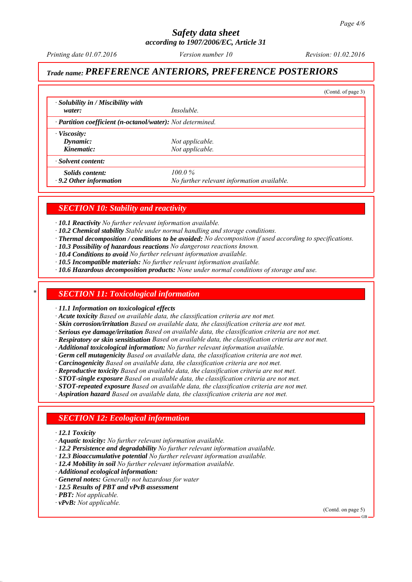*according to 1907/2006/EC, Article 31*

*Printing date 01.07.2016 Revision: 01.02.2016 Version number 10*

# *Trade name: PREFERENCE ANTERIORS, PREFERENCE POSTERIORS*

|                                                                         |                                            | (Contd. of page 3) |
|-------------------------------------------------------------------------|--------------------------------------------|--------------------|
| $\cdot$ Solubility in / Miscibility with<br>water:                      | <i>Insoluble.</i>                          |                    |
| $\cdot$ <b>Partition coefficient (n-octanol/water):</b> Not determined. |                                            |                    |
| $\cdot$ Viscosity:                                                      |                                            |                    |
| Dynamic:                                                                | Not applicable.                            |                    |
| Kinematic:                                                              | Not applicable.                            |                    |
| · Solvent content:                                                      |                                            |                    |
| Solids content:                                                         | $100.0\%$                                  |                    |
| $\cdot$ 9.2 Other information                                           | No further relevant information available. |                    |

## *SECTION 10: Stability and reactivity*

*∙ 10.1 Reactivity No further relevant information available.*

- *∙ 10.2 Chemical stability Stable under normal handling and storage conditions.*
- *∙ Thermal decomposition / conditions to be avoided: No decomposition if used according to specifications.*
- *∙ 10.3 Possibility of hazardous reactions No dangerous reactions known.*
- *∙ 10.4 Conditions to avoid No further relevant information available.*
- *∙ 10.5 Incompatible materials: No further relevant information available.*
- *∙ 10.6 Hazardous decomposition products: None under normal conditions of storage and use.*

### *\* SECTION 11: Toxicological information*

*∙ 11.1 Information on toxicological effects*

*∙ Acute toxicity Based on available data, the classification criteria are not met.*

- *∙ Skin corrosion/irritation Based on available data, the classification criteria are not met.*
- *∙ Serious eye damage/irritation Based on available data, the classification criteria are not met.*
- *∙ Respiratory or skin sensitisation Based on available data, the classification criteria are not met.*
- *∙ Additional toxicological information: No further relevant information available.*
- *∙ Germ cell mutagenicity Based on available data, the classification criteria are not met.*
- *∙ Carcinogenicity Based on available data, the classification criteria are not met.*
- *∙ Reproductive toxicity Based on available data, the classification criteria are not met.*
- *∙ STOT-single exposure Based on available data, the classification criteria are not met.*
- *∙ STOT-repeated exposure Based on available data, the classification criteria are not met.*
- *∙ Aspiration hazard Based on available data, the classification criteria are not met.*

## *SECTION 12: Ecological information*

- *∙ 12.1 Toxicity*
- *∙ Aquatic toxicity: No further relevant information available.*
- *∙ 12.2 Persistence and degradability No further relevant information available.*
- *∙ 12.3 Bioaccumulative potential No further relevant information available.*
- *∙ 12.4 Mobility in soil No further relevant information available.*
- *∙ Additional ecological information:*
- *∙ General notes: Generally not hazardous for water*
- *∙ 12.5 Results of PBT and vPvB assessment*
- *∙ PBT: Not applicable.*
- *∙ vPvB: Not applicable.*

(Contd. on page 5)

GB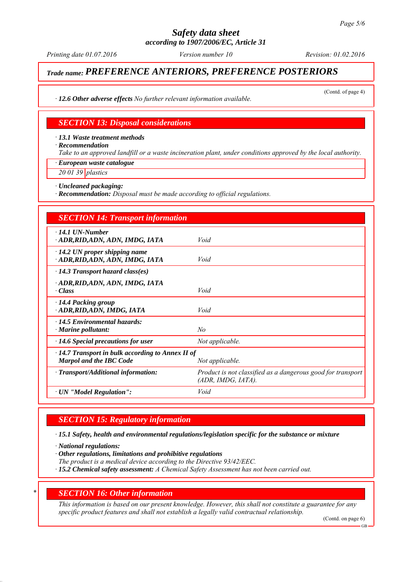*according to 1907/2006/EC, Article 31*

*Printing date 01.07.2016 Revision: 01.02.2016 Version number 10*

(Contd. of page 4)

# *Trade name: PREFERENCE ANTERIORS, PREFERENCE POSTERIORS*

*∙ 12.6 Other adverse effects No further relevant information available.*

## *SECTION 13: Disposal considerations*

*∙ 13.1 Waste treatment methods*

*∙ Recommendation*

*Take to an approved landfill or a waste incineration plant, under conditions approved by the local authority.*

*∙ European waste catalogue*

*20 01 39 plastics*

*∙ Uncleaned packaging:*

*∙ Recommendation: Disposal must be made according to official regulations.*

| <b>SECTION 14: Transport information</b>                                                  |                                                                                   |
|-------------------------------------------------------------------------------------------|-----------------------------------------------------------------------------------|
| $\cdot$ 14.1 UN-Number<br>ADR, RID, ADN, ADN, IMDG, IATA                                  | Void                                                                              |
| $\cdot$ 14.2 UN proper shipping name<br>· ADR,RID,ADN, ADN, IMDG, IATA                    | Void                                                                              |
| $\cdot$ 14.3 Transport hazard class(es)                                                   |                                                                                   |
| · ADR, RID, ADN, ADN, IMDG, IATA<br>· Class                                               | Void                                                                              |
| $\cdot$ 14.4 Packing group<br>ADR, RID, ADN, IMDG, IATA                                   | Void                                                                              |
| $\cdot$ 14.5 Environmental hazards:<br>$\cdot$ Marine pollutant:                          | No                                                                                |
| $\cdot$ 14.6 Special precautions for user                                                 | Not applicable.                                                                   |
| $\cdot$ 14.7 Transport in bulk according to Annex II of<br><b>Marpol and the IBC Code</b> | Not applicable.                                                                   |
| · Transport/Additional information:                                                       | Product is not classified as a dangerous good for transport<br>(ADR, IMDG, IATA). |
| · UN "Model Regulation":                                                                  | Void                                                                              |

## *SECTION 15: Regulatory information*

*∙ 15.1 Safety, health and environmental regulations/legislation specific for the substance or mixture*

*∙ National regulations:*

*∙ Other regulations, limitations and prohibitive regulations*

*The product is a medical device according to the Directive 93/42/EEC.*

*∙ 15.2 Chemical safety assessment: A Chemical Safety Assessment has not been carried out.*

### *\* SECTION 16: Other information*

*This information is based on our present knowledge. However, this shall not constitute a guarantee for any specific product features and shall not establish a legally valid contractual relationship.*

(Contd. on page 6)

GB